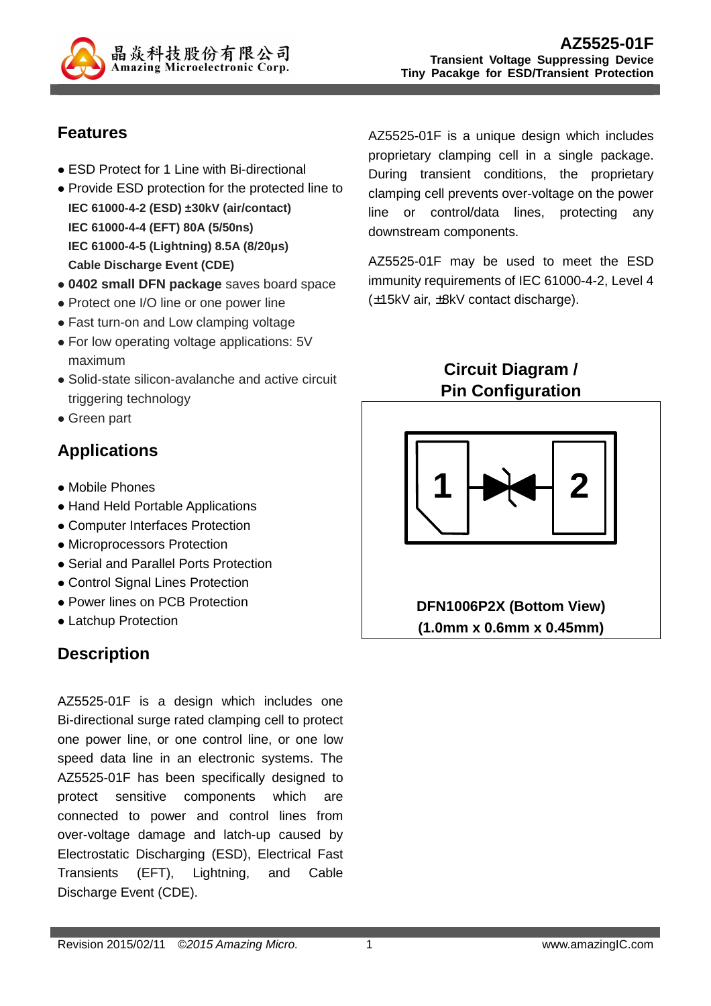

# **Features**

- ESD Protect for 1 Line with Bi-directional
- Provide ESD protection for the protected line to **IEC 61000-4-2 (ESD) ±30kV (air/contact) IEC 61000-4-4 (EFT) 80A (5/50ns) IEC 61000-4-5 (Lightning) 8.5A (8/20µs) Cable Discharge Event (CDE)**
- **0402 small DFN package** saves board space
- Protect one I/O line or one power line
- Fast turn-on and Low clamping voltage
- For low operating voltage applications: 5V maximum
- Solid-state silicon-avalanche and active circuit triggering technology
- Green part

# **Applications**

- Mobile Phones
- Hand Held Portable Applications
- Computer Interfaces Protection
- Microprocessors Protection
- Serial and Parallel Ports Protection
- Control Signal Lines Protection
- Power lines on PCB Protection
- Latchup Protection

### **Description**

AZ5525-01F is a design which includes one Bi-directional surge rated clamping cell to protect one power line, or one control line, or one low speed data line in an electronic systems. The AZ5525-01F has been specifically designed to protect sensitive components which are connected to power and control lines from over-voltage damage and latch-up caused by Electrostatic Discharging (ESD), Electrical Fast Transients (EFT), Lightning, and Cable Discharge Event (CDE).

AZ5525-01F is a unique design which includes proprietary clamping cell in a single package. During transient conditions, the proprietary clamping cell prevents over-voltage on the power line or control/data lines, protecting any downstream components.

AZ5525-01F may be used to meet the ESD immunity requirements of IEC 61000-4-2, Level 4 (±15kV air, ±8kV contact discharge).

> **Circuit Diagram / Pin Configuration**



**(1.0mm x 0.6mm x 0.45mm)**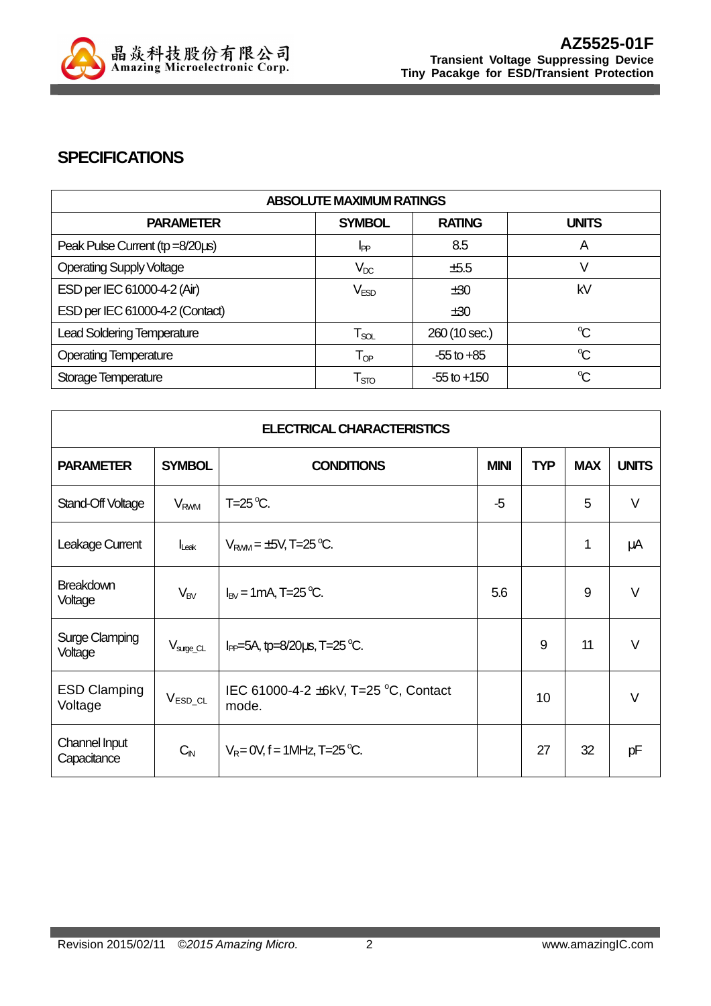

#### **SPECIFICATIONS**

| <b>ABSOLUTE MAXIMUM RATINGS</b>   |                             |                 |                      |  |
|-----------------------------------|-----------------------------|-----------------|----------------------|--|
| <b>PARAMETER</b>                  | <b>SYMBOL</b>               | <b>RATING</b>   | <b>UNITS</b>         |  |
| Peak Pulse Current (tp =8/20us)   | IPP                         | 8.5             | A                    |  |
| <b>Operating Supply Voltage</b>   | $V_{DC}$                    | ±5.5            |                      |  |
| ESD per IEC 61000-4-2 (Air)       | V <sub>ESD</sub>            | ±30             | kV                   |  |
| ESD per IEC 61000-4-2 (Contact)   |                             | ±30             |                      |  |
| <b>Lead Soldering Temperature</b> | $\mathsf{T}_{\mathsf{SOL}}$ | 260 (10 sec.)   | $\mathrm{C}$         |  |
| <b>Operating Temperature</b>      | $\mathsf{T}_{\textsf{OP}}$  | $-55$ to $+85$  | $\mathrm{C}$         |  |
| Storage Temperature               | $\mathsf{T}_{\text{STO}}$   | $-55$ to $+150$ | $\mathrm{C}^{\circ}$ |  |

| <b>ELECTRICAL CHARACTERISTICS</b> |                        |                                               |             |            |            |              |
|-----------------------------------|------------------------|-----------------------------------------------|-------------|------------|------------|--------------|
| <b>PARAMETER</b>                  | <b>SYMBOL</b>          | <b>CONDITIONS</b>                             | <b>MINI</b> | <b>TYP</b> | <b>MAX</b> | <b>UNITS</b> |
| Stand-Off Voltage                 | <b>V<sub>RWM</sub></b> | $T=25^{\circ}C$ .                             | $-5$        |            | 5          | $\vee$       |
| Leakage Current                   | $I_{\text{L}eak}$      | $V_{RWM} = \pm 5V$ , T=25 °C.                 |             |            | 1          | μA           |
| <b>Breakdown</b><br>Voltage       | $V_{BV}$               | $I_{\text{RV}}$ = 1 mA, T=25 °C.              | 5.6         |            | 9          | $\vee$       |
| <b>Surge Clamping</b><br>Voltage  | $V_{\text{surge\_CL}}$ | $I_{PP}$ =5A, tp=8/20 $\mu$ s, T=25 °C.       |             | 9          | 11         | $\vee$       |
| <b>ESD Clamping</b><br>Voltage    | $V_{ESD\_CL}$          | IEC 61000-4-2 ±6kV, T=25 °C, Contact<br>mode. |             | 10         |            | $\vee$       |
| Channel Input<br>Capacitance      | $C_{N}$                | $V_R = 0V$ , f = 1MHz, T=25 °C.               |             | 27         | 32         | pF           |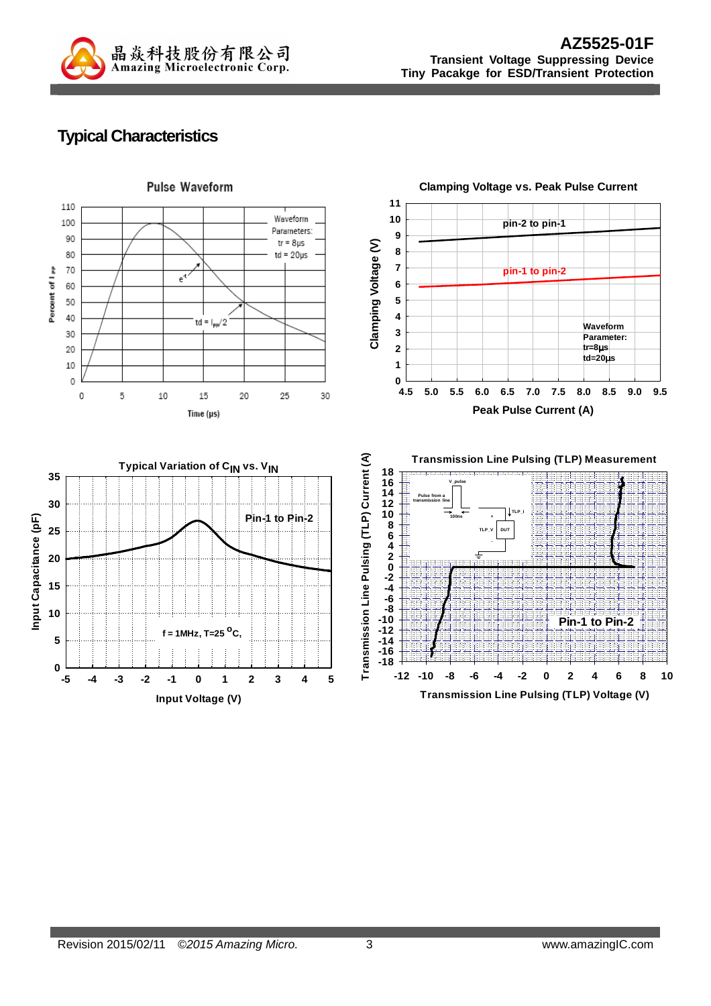

# **Typical Characteristics**

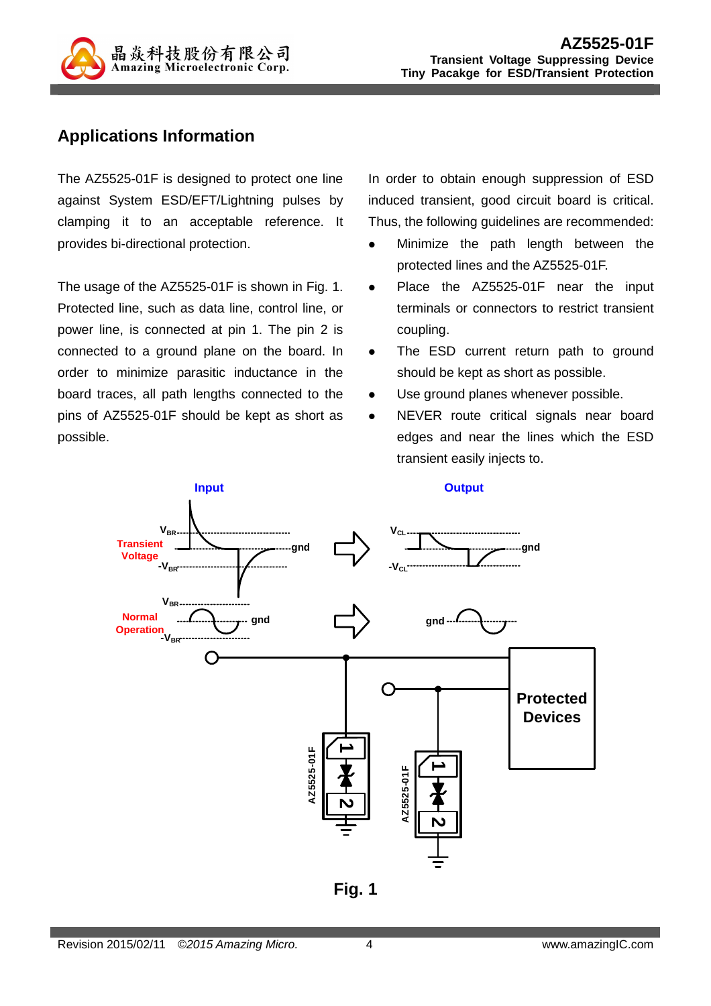

#### **Applications Information**

The AZ5525-01F is designed to protect one line against System ESD/EFT/Lightning pulses by clamping it to an acceptable reference. It provides bi-directional protection.

The usage of the AZ5525-01F is shown in Fig. 1. Protected line, such as data line, control line, or power line, is connected at pin 1. The pin 2 is connected to a ground plane on the board. In order to minimize parasitic inductance in the board traces, all path lengths connected to the pins of AZ5525-01F should be kept as short as possible.

In order to obtain enough suppression of ESD induced transient, good circuit board is critical. Thus, the following guidelines are recommended:

- Minimize the path length between the protected lines and the AZ5525-01F.
- Place the AZ5525-01F near the input terminals or connectors to restrict transient coupling.
- The ESD current return path to ground should be kept as short as possible.
- Use ground planes whenever possible.
- NEVER route critical signals near board edges and near the lines which the ESD transient easily injects to.



**Fig. 1**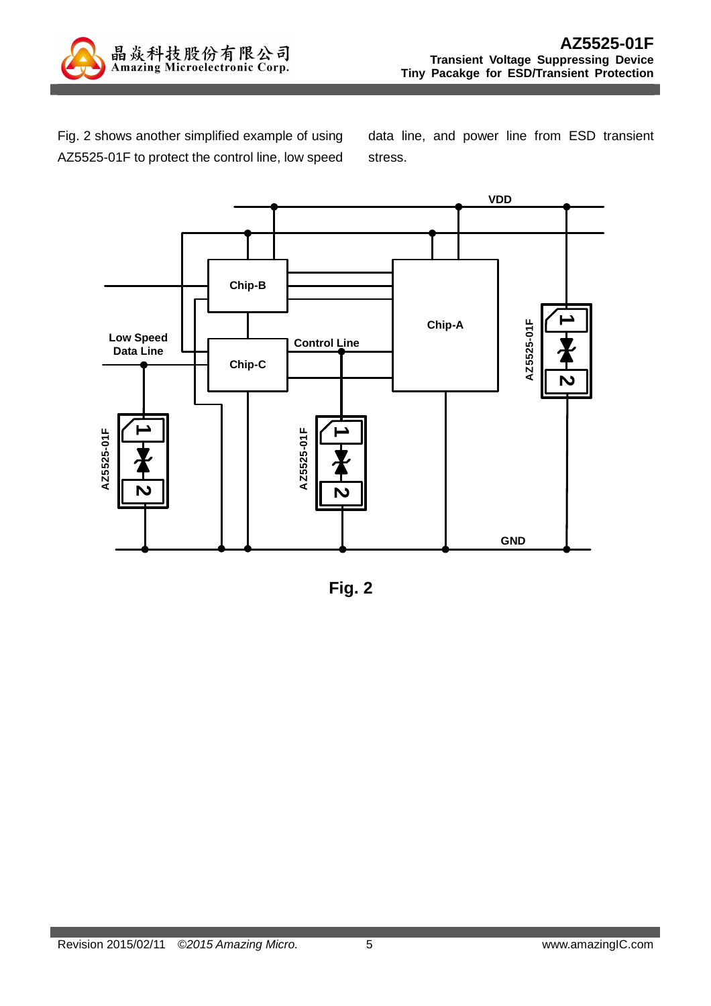

Fig. 2 shows another simplified example of using AZ5525-01F to protect the control line, low speed

data line, and power line from ESD transient stress.



**Fig. 2**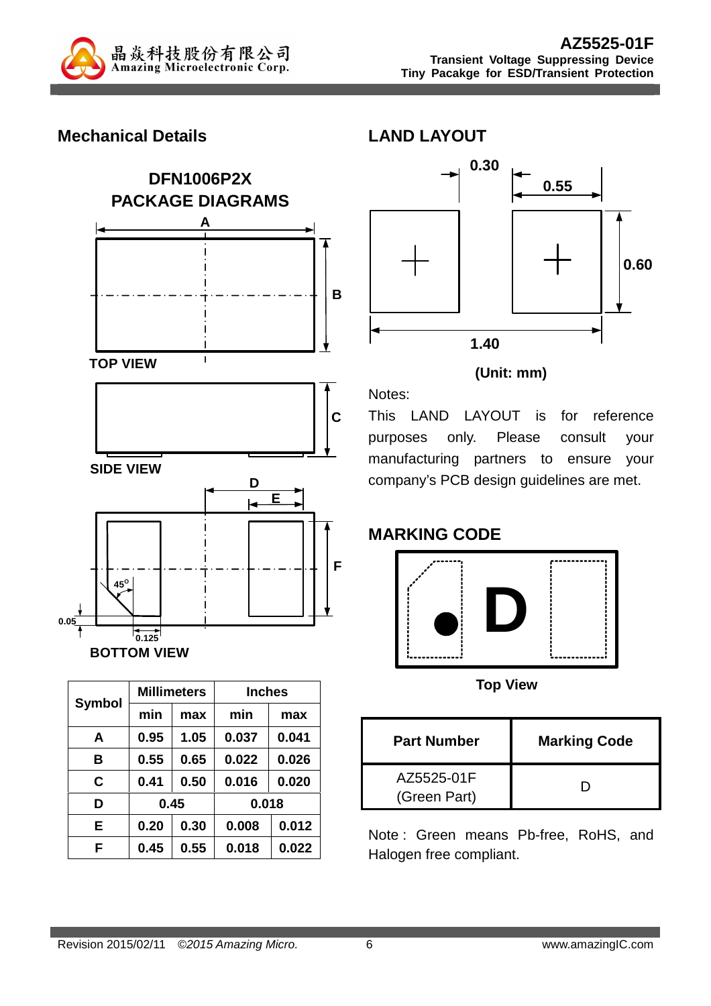

#### **Mechanical Details**





|               |      | <b>Millimeters</b> | <b>Inches</b> |       |  |
|---------------|------|--------------------|---------------|-------|--|
| <b>Symbol</b> | min  | max                | min           | max   |  |
| A             | 0.95 | 1.05               | 0.037         | 0.041 |  |
| в             | 0.55 | 0.65               | 0.022         | 0.026 |  |
| C             | 0.41 | 0.50               | 0.016         | 0.020 |  |
| D             | 0.45 |                    | 0.018         |       |  |
| E             | 0.20 | 0.30               | 0.008         | 0.012 |  |
| F             | 0.45 | 0.55               | 0.018         | 0.022 |  |



#### **(Unit: mm)**

This LAND LAYOUT is for reference purposes only. Please consult your manufacturing partners to ensure your company's PCB design guidelines are met.

### **MARKING CODE**

Notes:



**Top View** 

| <b>Part Number</b>         | <b>Marking Code</b> |
|----------------------------|---------------------|
| AZ5525-01F<br>(Green Part) |                     |

Note : Green means Pb-free, RoHS, and Halogen free compliant.